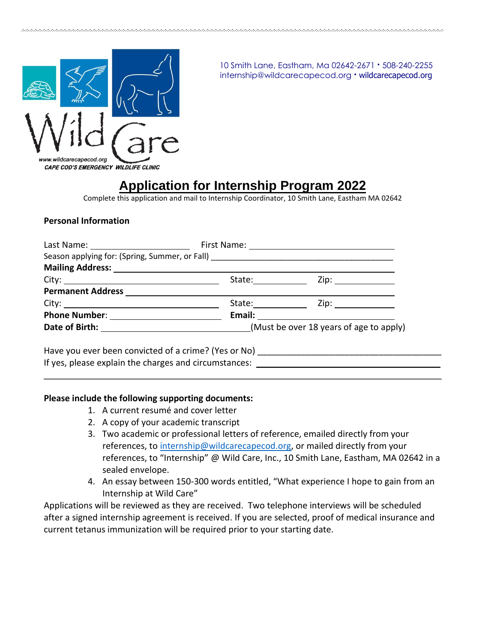

10 Smith Lane, Eastham, Ma 02642-2671 **·** 508-240-2255 internship@wildcarecapecod.org **·** wildcarecapecod.org

## **Application for Internship Program 2022**

Complete this application and mail to Internship Coordinator, 10 Smith Lane, Eastham MA 02642

## **Personal Information**

|                                                                                         | State: ____________ Zip: _______________ |
|-----------------------------------------------------------------------------------------|------------------------------------------|
|                                                                                         |                                          |
|                                                                                         |                                          |
|                                                                                         |                                          |
| Date of Birth: _________________________________(Must be over 18 years of age to apply) |                                          |
|                                                                                         |                                          |

Have you ever been convicted of a crime? (Yes or No) \_\_\_\_\_\_\_\_\_\_\_\_\_\_\_\_\_\_\_\_\_\_\_\_\_\_\_ If yes, please explain the charges and circumstances:  $\Box$ 

## **Please include the following supporting documents:**

- 1. A current resumé and cover letter
- 2. A copy of your academic transcript
- 3. Two academic or professional letters of reference, emailed directly from your references, to [internship@wildcarecapecod.org,](mailto:internship@wildcarecapecod.org) or mailed directly from your references, to "Internship" @ Wild Care, Inc., 10 Smith Lane, Eastham, MA 02642 in a sealed envelope.
- 4. An essay between 150-300 words entitled, "What experience I hope to gain from an Internship at Wild Care"

Applications will be reviewed as they are received. Two telephone interviews will be scheduled after a signed internship agreement is received. If you are selected, proof of medical insurance and current tetanus immunization will be required prior to your starting date.

\_\_\_\_\_\_\_\_\_\_\_\_\_\_\_\_\_\_\_\_\_\_\_\_\_\_\_\_\_\_\_\_\_\_\_\_\_\_\_\_\_\_\_\_\_\_\_\_\_\_\_\_\_\_\_\_\_\_\_\_\_\_\_\_\_\_\_\_\_\_\_\_\_\_\_\_\_\_\_\_\_\_